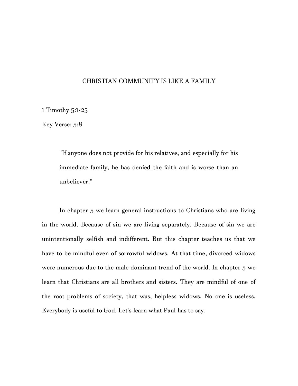## CHRISTIAN COMMUNITY IS LIKE A FAMILY

1 Timothy 5:1-25

Key Verse: 5:8

"If anyone does not provide for his relatives, and especially for his immediate family, he has denied the faith and is worse than an unbeliever."

In chapter 5 we learn general instructions to Christians who are living in the world. Because of sin we are living separately. Because of sin we are unintentionally selfish and indifferent. But this chapter teaches us that we have to be mindful even of sorrowful widows. At that time, divorced widows were numerous due to the male dominant trend of the world. In chapter 5 we learn that Christians are all brothers and sisters. They are mindful of one of the root problems of society, that was, helpless widows. No one is useless. Everybody is useful to God. Let's learn what Paul has to say.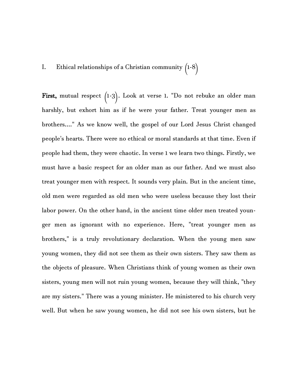## I. Ethical relationships of a Christian community  $(1-8)$

First, mutual respect  $(1-3)$ . Look at verse 1. "Do not rebuke an older man harshly, but exhort him as if he were your father. Treat younger men as brothers...." As we know well, the gospel of our Lord Jesus Christ changed people's hearts. There were no ethical or moral standards at that time. Even if people had them, they were chaotic. In verse 1 we learn two things. Firstly, we must have a basic respect for an older man as our father. And we must also treat younger men with respect. It sounds very plain. But in the ancient time, old men were regarded as old men who were useless because they lost their labor power. On the other hand, in the ancient time older men treated younger men as ignorant with no experience. Here, "treat younger men as brothers," is a truly revolutionary declaration. When the young men saw young women, they did not see them as their own sisters. They saw them as the objects of pleasure. When Christians think of young women as their own sisters, young men will not ruin young women, because they will think, "they are my sisters." There was a young minister. He ministered to his church very well. But when he saw young women, he did not see his own sisters, but he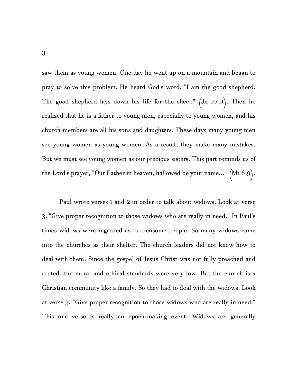saw them as young women. One day he went up on a mountain and began to pray to solve this problem. He heard God's word, "I am the good shepherd. The good shepherd lays down his life for the sheep" (Jn 10:11). Then he realized that he is a father to young men, especially to young women, and his church members are all his sons and daughters. These days many young men see young women as young women. As a result, they make many mistakes. But we must see young women as our precious sisters. This part reminds us of the Lord's prayer, "Our Father in heaven, hallowed be your name..."  $(Mt 6:9)$ .

Paul wrote verses 1 and 2 in order to talk about widows. Look at verse 3. "Give proper recognition to those widows who are really in need." In Paul's times widows were regarded as burdensome people. So many widows came into the churches as their shelter. The church leaders did not know how to deal with them. Since the gospel of Jesus Christ was not fully preached and rooted, the moral and ethical standards were very low. But the church is a Christian community like a family. So they had to deal with the widows. Look at verse 3. "Give proper recognition to those widows who are really in need." This one verse is really an epoch-making event. Widows are generally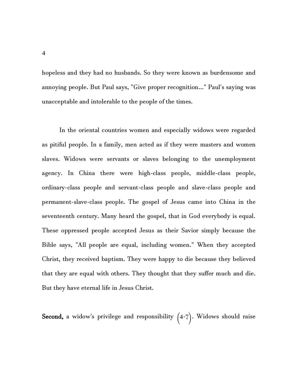hopeless and they had no husbands. So they were known as burdensome and annoying people. But Paul says, "Give proper recognition..." Paul's saying was unacceptable and intolerable to the people of the times.

In the oriental countries women and especially widows were regarded as pitiful people. In a family, men acted as if they were masters and women slaves. Widows were servants or slaves belonging to the unemployment agency. In China there were high-class people, middle-class people, ordinary-class people and servant-class people and slave-class people and permanent-slave-class people. The gospel of Jesus came into China in the seventeenth century. Many heard the gospel, that in God everybody is equal. These oppressed people accepted Jesus as their Savior simply because the Bible says, "All people are equal, including women." When they accepted Christ, they received baptism. They were happy to die because they believed that they are equal with others. They thought that they suffer much and die. But they have eternal life in Jesus Christ.

Second, a widow's privilege and responsibility  $(4-7)$ . Widows should raise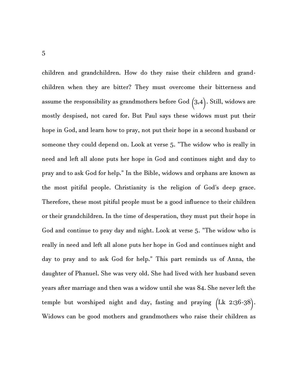children and grandchildren. How do they raise their children and grandchildren when they are bitter? They must overcome their bitterness and assume the responsibility as grandmothers before God  $(3,4)$ . Still, widows are mostly despised, not cared for. But Paul says these widows must put their hope in God, and learn how to pray, not put their hope in a second husband or someone they could depend on. Look at verse 5. "The widow who is really in need and left all alone puts her hope in God and continues night and day to pray and to ask God for help." In the Bible, widows and orphans are known as the most pitiful people. Christianity is the religion of God's deep grace. Therefore, these most pitiful people must be a good influence to their children or their grandchildren. In the time of desperation, they must put their hope in God and continue to pray day and night. Look at verse 5. "The widow who is really in need and left all alone puts her hope in God and continues night and day to pray and to ask God for help." This part reminds us of Anna, the daughter of Phanuel. She was very old. She had lived with her husband seven years after marriage and then was a widow until she was 84. She never left the temple but worshiped night and day, fasting and praying (Lk 2:36-38). Widows can be good mothers and grandmothers who raise their children as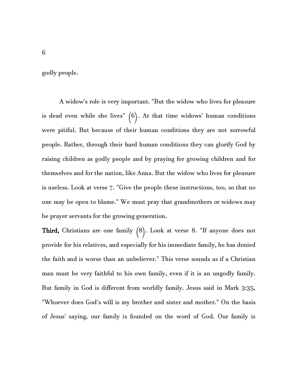godly people.

A widow's role is very important. "But the widow who lives for pleasure is dead even while she lives"  $(6)$ . At that time widows' human conditions were pitiful. But because of their human conditions they are not sorrowful people. Rather, through their hard human conditions they can glorify God by raising children as godly people and by praying for growing children and for themselves and for the nation, like Anna. But the widow who lives for pleasure is useless. Look at verse 7. "Give the people these instructions, too, so that no one may be open to blame." We must pray that grandmothers or widows may be prayer servants for the growing generation.

Third, Christians are one family  $(8)$ . Look at verse 8. "If anyone does not provide for his relatives, and especially for his immediate family, he has denied the faith and is worse than an unbeliever." This verse sounds as if a Christian man must be very faithful to his own family, even if it is an ungodly family. But family in God is different from worldly family. Jesus said in Mark 3:35, "Whoever does God's will is my brother and sister and mother." On the basis of Jesus' saying, our family is founded on the word of God. Our family is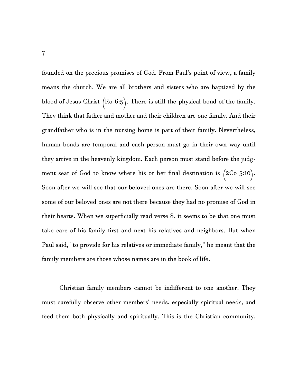founded on the precious promises of God. From Paul's point of view, a family means the church. We are all brothers and sisters who are baptized by the blood of Jesus Christ (Ro 6:5). There is still the physical bond of the family. They think that father and mother and their children are one family. And their grandfather who is in the nursing home is part of their family. Nevertheless, human bonds are temporal and each person must go in their own way until they arrive in the heavenly kingdom. Each person must stand before the judgment seat of God to know where his or her final destination is  $(2Co 5:10)$ . Soon after we will see that our beloved ones are there. Soon after we will see some of our beloved ones are not there because they had no promise of God in their hearts. When we superficially read verse 8, it seems to be that one must take care of his family first and next his relatives and neighbors. But when Paul said, "to provide for his relatives or immediate family," he meant that the family members are those whose names are in the book of life.

Christian family members cannot be indifferent to one another. They must carefully observe other members' needs, especially spiritual needs, and feed them both physically and spiritually. This is the Christian community.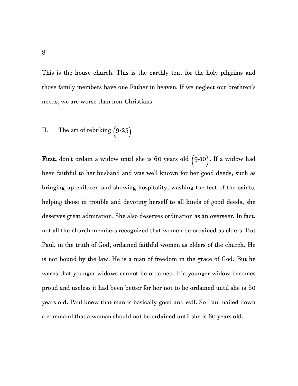This is the house church. This is the earthly tent for the holy pilgrims and those family members have one Father in heaven. If we neglect our brethren's needs, we are worse than non-Christians.

II. The art of rebuking 
$$
(9-25)
$$

First, don't ordain a widow until she is 60 years old  $(9-10)$ . If a widow had been faithful to her husband and was well known for her good deeds, such as bringing up children and showing hospitality, washing the feet of the saints, helping those in trouble and devoting herself to all kinds of good deeds, she deserves great admiration. She also deserves ordination as an overseer. In fact, not all the church members recognized that women be ordained as elders. But Paul, in the truth of God, ordained faithful women as elders of the church. He is not bound by the law. He is a man of freedom in the grace of God. But he warns that younger widows cannot be ordained. If a younger widow becomes proud and useless it had been better for her not to be ordained until she is 60 years old. Paul knew that man is basically good and evil. So Paul nailed down a command that a woman should not be ordained until she is 60 years old.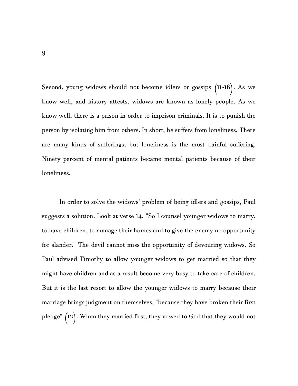Second, young widows should not become idlers or gossips  $(11-16)$ . As we know well, and history attests, widows are known as lonely people. As we know well, there is a prison in order to imprison criminals. It is to punish the person by isolating him from others. In short, he suffers from loneliness. There are many kinds of sufferings, but loneliness is the most painful suffering. Ninety percent of mental patients became mental patients because of their loneliness.

In order to solve the widows' problem of being idlers and gossips, Paul suggests a solution. Look at verse 14. "So I counsel younger widows to marry, to have children, to manage their homes and to give the enemy no opportunity for slander." The devil cannot miss the opportunity of devouring widows. So Paul advised Timothy to allow younger widows to get married so that they might have children and as a result become very busy to take care of children. But it is the last resort to allow the younger widows to marry because their marriage brings judgment on themselves, "because they have broken their first pledge" (12). When they married first, they vowed to God that they would not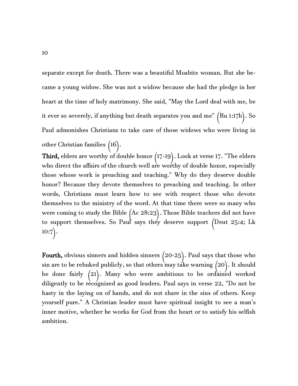separate except for death. There was a beautiful Moabite woman. But she became a young widow. She was not a widow because she had the pledge in her heart at the time of holy matrimony. She said, "May the Lord deal with me, be it ever so severely, if anything but death separates you and me" (Ru 1:17b). So Paul admonishes Christians to take care of those widows who were living in other Christian families (16).

Third, elders are worthy of double honor (17-19). Look at verse 17. "The elders who direct the affairs of the church well are worthy of double honor, especially those whose work is preaching and teaching." Why do they deserve double honor? Because they devote themselves to preaching and teaching. In other words, Christians must learn how to see with respect those who devote themselves to the ministry of the word. At that time there were so many who were coming to study the Bible (Ac 28:23). Those Bible teachers did not have to support themselves. So Paul says they deserve support (Deut 25:4; Lk  $10:7$ .

Fourth, obvious sinners and hidden sinners (20-25). Paul says that those who sin are to be rebuked publicly, so that others may take warning (20). It should be done fairly  $(21)$ . Many who were ambitious to be ordained worked diligently to be recognized as good leaders. Paul says in verse 22, "Do not be hasty in the laying on of hands, and do not share in the sins of others. Keep yourself pure." A Christian leader must have spiritual insight to see a man's inner motive, whether he works for God from the heart or to satisfy his selfish ambition.